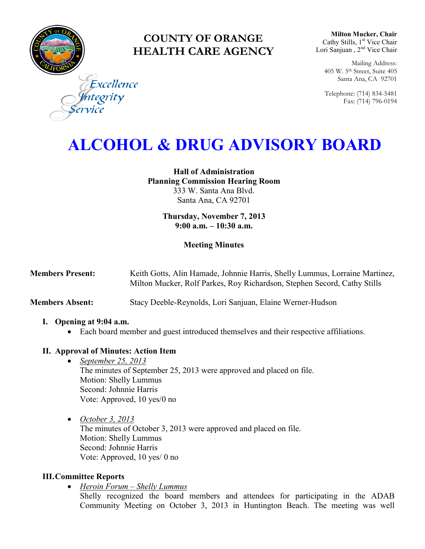

# **COUNTY OF ORANGE HEALTH CARE AGENCY**

**Milton Mucker, Chair** Cathy Stills, 1<sup>st</sup> Vice Chair Lori Sanjuan, 2<sup>nd</sup> Vice Chair

Mailing Address: 405 W. 5th Street, Suite 405 Santa Ana, CA 92701

Telephone: (714) 834-5481 Fax: (714) 796-0194

Excellence ntegrity

# **ALCOHOL & DRUG ADVISORY BOARD**

**Hall of Administration Planning Commission Hearing Room**  333 W. Santa Ana Blvd. Santa Ana, CA 92701

> **Thursday, November 7, 2013 9:00 a.m. – 10:30 a.m.**

## **Meeting Minutes**

| <b>Members Present:</b> | Keith Gotts, Alin Hamade, Johnnie Harris, Shelly Lummus, Lorraine Martinez, |
|-------------------------|-----------------------------------------------------------------------------|
|                         | Milton Mucker, Rolf Parkes, Roy Richardson, Stephen Secord, Cathy Stills    |

**Members Absent:** Stacy Deeble-Reynolds, Lori Sanjuan, Elaine Werner-Hudson

#### **I. Opening at 9:04 a.m.**

Each board member and guest introduced themselves and their respective affiliations.

# **II. Approval of Minutes: Action Item**

- *September 25, 2013* The minutes of September 25, 2013 were approved and placed on file. Motion: Shelly Lummus Second: Johnnie Harris Vote: Approved, 10 yes/0 no
- *October 3, 2013*  The minutes of October 3, 2013 were approved and placed on file. Motion: Shelly Lummus Second: Johnnie Harris Vote: Approved, 10 yes/ 0 no

# **III.Committee Reports**

*Heroin Forum – Shelly Lummus* 

Shelly recognized the board members and attendees for participating in the ADAB Community Meeting on October 3, 2013 in Huntington Beach. The meeting was well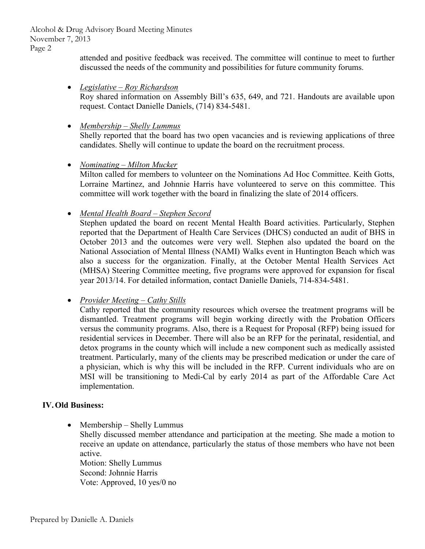Alcohol & Drug Advisory Board Meeting Minutes November 7, 2013 Page 2

> attended and positive feedback was received. The committee will continue to meet to further discussed the needs of the community and possibilities for future community forums.

- *Legislative – Roy Richardson*  Roy shared information on Assembly Bill's 635, 649, and 721. Handouts are available upon request. Contact Danielle Daniels, (714) 834-5481.
- *Membership – Shelly Lummus*  Shelly reported that the board has two open vacancies and is reviewing applications of three candidates. Shelly will continue to update the board on the recruitment process.
- *Nominating – Milton Mucker*

Milton called for members to volunteer on the Nominations Ad Hoc Committee. Keith Gotts, Lorraine Martinez, and Johnnie Harris have volunteered to serve on this committee. This committee will work together with the board in finalizing the slate of 2014 officers.

*Mental Health Board – Stephen Secord* 

Stephen updated the board on recent Mental Health Board activities. Particularly, Stephen reported that the Department of Health Care Services (DHCS) conducted an audit of BHS in October 2013 and the outcomes were very well. Stephen also updated the board on the National Association of Mental Illness (NAMI) Walks event in Huntington Beach which was also a success for the organization. Finally, at the October Mental Health Services Act (MHSA) Steering Committee meeting, five programs were approved for expansion for fiscal year 2013/14. For detailed information, contact Danielle Daniels, 714-834-5481.

*Provider Meeting – Cathy Stills* 

Cathy reported that the community resources which oversee the treatment programs will be dismantled. Treatment programs will begin working directly with the Probation Officers versus the community programs. Also, there is a Request for Proposal (RFP) being issued for residential services in December. There will also be an RFP for the perinatal, residential, and detox programs in the county which will include a new component such as medically assisted treatment. Particularly, many of the clients may be prescribed medication or under the care of a physician, which is why this will be included in the RFP. Current individuals who are on MSI will be transitioning to Medi-Cal by early 2014 as part of the Affordable Care Act implementation.

# **IV.Old Business:**

• Membership – Shelly Lummus

Shelly discussed member attendance and participation at the meeting. She made a motion to receive an update on attendance, particularly the status of those members who have not been active.

Motion: Shelly Lummus Second: Johnnie Harris Vote: Approved, 10 yes/0 no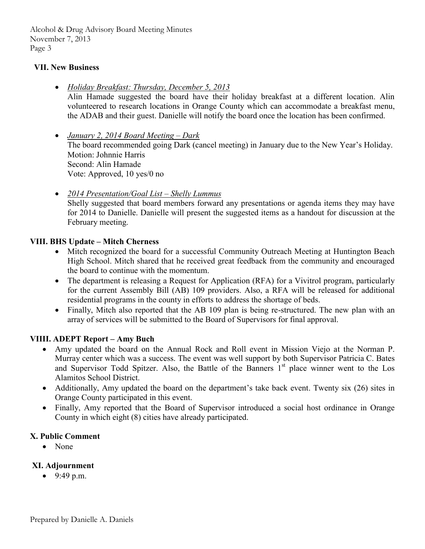Alcohol & Drug Advisory Board Meeting Minutes November 7, 2013 Page 3

## **VII. New Business**

*Holiday Breakfast: Thursday, December 5, 2013* 

Alin Hamade suggested the board have their holiday breakfast at a different location. Alin volunteered to research locations in Orange County which can accommodate a breakfast menu, the ADAB and their guest. Danielle will notify the board once the location has been confirmed.

- *January 2, 2014 Board Meeting Dark*  The board recommended going Dark (cancel meeting) in January due to the New Year's Holiday. Motion: Johnnie Harris Second: Alin Hamade Vote: Approved, 10 yes/0 no
- *2014 Presentation/Goal List Shelly Lummus*  Shelly suggested that board members forward any presentations or agenda items they may have for 2014 to Danielle. Danielle will present the suggested items as a handout for discussion at the February meeting.

## **VIII. BHS Update – Mitch Cherness**

- Mitch recognized the board for a successful Community Outreach Meeting at Huntington Beach High School. Mitch shared that he received great feedback from the community and encouraged the board to continue with the momentum.
- The department is releasing a Request for Application (RFA) for a Vivitrol program, particularly for the current Assembly Bill (AB) 109 providers. Also, a RFA will be released for additional residential programs in the county in efforts to address the shortage of beds.
- Finally, Mitch also reported that the AB 109 plan is being re-structured. The new plan with an array of services will be submitted to the Board of Supervisors for final approval.

#### **VIIII. ADEPT Report – Amy Buch**

- Amy updated the board on the Annual Rock and Roll event in Mission Viejo at the Norman P. Murray center which was a success. The event was well support by both Supervisor Patricia C. Bates and Supervisor Todd Spitzer. Also, the Battle of the Banners  $1<sup>st</sup>$  place winner went to the Los Alamitos School District.
- Additionally, Amy updated the board on the department's take back event. Twenty six (26) sites in Orange County participated in this event.
- Finally, Amy reported that the Board of Supervisor introduced a social host ordinance in Orange County in which eight (8) cities have already participated.

#### **X. Public Comment**

• None

# **XI. Adjournment**

 $9:49 \text{ p.m.}$